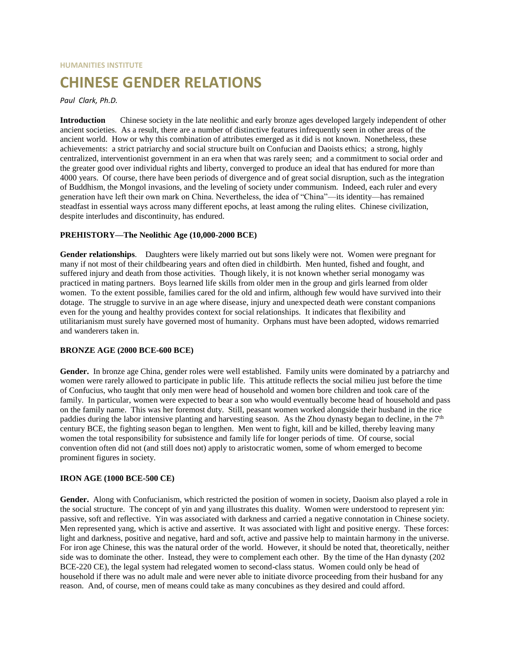# **HUMANITIES INSTITUTE**

# **CHINESE GENDER RELATIONS**

# *Paul Clark, Ph.D.*

**Introduction** Chinese society in the late neolithic and early bronze ages developed largely independent of other ancient societies. As a result, there are a number of distinctive features infrequently seen in other areas of the ancient world. How or why this combination of attributes emerged as it did is not known. Nonetheless, these achievements: a strict patriarchy and social structure built on Confucian and Daoists ethics; a strong, highly centralized, interventionist government in an era when that was rarely seen; and a commitment to social order and the greater good over individual rights and liberty, converged to produce an ideal that has endured for more than 4000 years. Of course, there have been periods of divergence and of great social disruption, such as the integration of Buddhism, the Mongol invasions, and the leveling of society under communism. Indeed, each ruler and every generation have left their own mark on China. Nevertheless, the idea of "China"—its identity—has remained steadfast in essential ways across many different epochs, at least among the ruling elites. Chinese civilization, despite interludes and discontinuity, has endured.

### **PREHISTORY—The Neolithic Age (10,000-2000 BCE)**

**Gender relationships**. Daughters were likely married out but sons likely were not. Women were pregnant for many if not most of their childbearing years and often died in childbirth. Men hunted, fished and fought, and suffered injury and death from those activities. Though likely, it is not known whether serial monogamy was practiced in mating partners. Boys learned life skills from older men in the group and girls learned from older women. To the extent possible, families cared for the old and infirm, although few would have survived into their dotage. The struggle to survive in an age where disease, injury and unexpected death were constant companions even for the young and healthy provides context for social relationships. It indicates that flexibility and utilitarianism must surely have governed most of humanity. Orphans must have been adopted, widows remarried and wanderers taken in.

#### **BRONZE AGE (2000 BCE-600 BCE)**

**Gender.** In bronze age China, gender roles were well established. Family units were dominated by a patriarchy and women were rarely allowed to participate in public life. This attitude reflects the social milieu just before the time of Confucius, who taught that only men were head of household and women bore children and took care of the family. In particular, women were expected to bear a son who would eventually become head of household and pass on the family name. This was her foremost duty. Still, peasant women worked alongside their husband in the rice paddies during the labor intensive planting and harvesting season. As the Zhou dynasty began to decline, in the  $7<sup>th</sup>$ century BCE, the fighting season began to lengthen. Men went to fight, kill and be killed, thereby leaving many women the total responsibility for subsistence and family life for longer periods of time. Of course, social convention often did not (and still does not) apply to aristocratic women, some of whom emerged to become prominent figures in society.

#### **IRON AGE (1000 BCE-500 CE)**

**Gender.** Along with Confucianism, which restricted the position of women in society, Daoism also played a role in the social structure. The concept of yin and yang illustrates this duality. Women were understood to represent yin: passive, soft and reflective. Yin was associated with darkness and carried a negative connotation in Chinese society. Men represented yang, which is active and assertive. It was associated with light and positive energy. These forces: light and darkness, positive and negative, hard and soft, active and passive help to maintain harmony in the universe. For iron age Chinese, this was the natural order of the world. However, it should be noted that, theoretically, neither side was to dominate the other. Instead, they were to complement each other. By the time of the Han dynasty (202 BCE-220 CE), the legal system had relegated women to second-class status. Women could only be head of household if there was no adult male and were never able to initiate divorce proceeding from their husband for any reason. And, of course, men of means could take as many concubines as they desired and could afford.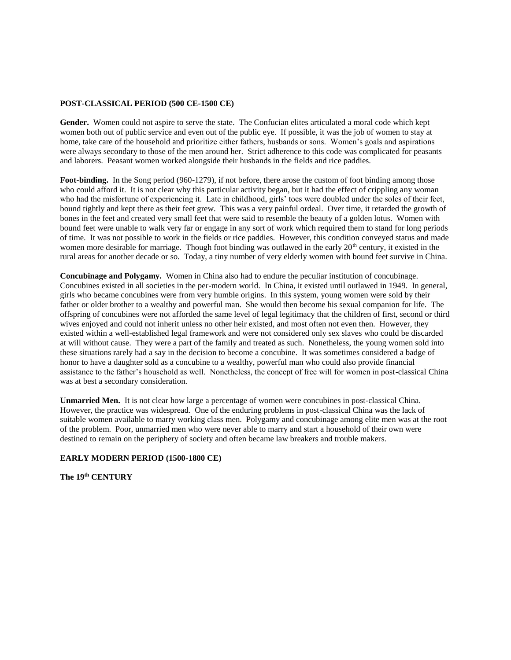## **POST-CLASSICAL PERIOD (500 CE-1500 CE)**

**Gender.** Women could not aspire to serve the state. The Confucian elites articulated a moral code which kept women both out of public service and even out of the public eye. If possible, it was the job of women to stay at home, take care of the household and prioritize either fathers, husbands or sons. Women's goals and aspirations were always secondary to those of the men around her. Strict adherence to this code was complicated for peasants and laborers. Peasant women worked alongside their husbands in the fields and rice paddies.

**Foot-binding.** In the Song period (960-1279), if not before, there arose the custom of foot binding among those who could afford it. It is not clear why this particular activity began, but it had the effect of crippling any woman who had the misfortune of experiencing it. Late in childhood, girls' toes were doubled under the soles of their feet, bound tightly and kept there as their feet grew. This was a very painful ordeal. Over time, it retarded the growth of bones in the feet and created very small feet that were said to resemble the beauty of a golden lotus. Women with bound feet were unable to walk very far or engage in any sort of work which required them to stand for long periods of time. It was not possible to work in the fields or rice paddies. However, this condition conveyed status and made women more desirable for marriage. Though foot binding was outlawed in the early 20<sup>th</sup> century, it existed in the rural areas for another decade or so. Today, a tiny number of very elderly women with bound feet survive in China.

**Concubinage and Polygamy.** Women in China also had to endure the peculiar institution of concubinage. Concubines existed in all societies in the per-modern world. In China, it existed until outlawed in 1949. In general, girls who became concubines were from very humble origins. In this system, young women were sold by their father or older brother to a wealthy and powerful man. She would then become his sexual companion for life. The offspring of concubines were not afforded the same level of legal legitimacy that the children of first, second or third wives enjoyed and could not inherit unless no other heir existed, and most often not even then. However, they existed within a well-established legal framework and were not considered only sex slaves who could be discarded at will without cause. They were a part of the family and treated as such. Nonetheless, the young women sold into these situations rarely had a say in the decision to become a concubine. It was sometimes considered a badge of honor to have a daughter sold as a concubine to a wealthy, powerful man who could also provide financial assistance to the father's household as well. Nonetheless, the concept of free will for women in post-classical China was at best a secondary consideration.

**Unmarried Men.** It is not clear how large a percentage of women were concubines in post-classical China. However, the practice was widespread. One of the enduring problems in post-classical China was the lack of suitable women available to marry working class men. Polygamy and concubinage among elite men was at the root of the problem. Poor, unmarried men who were never able to marry and start a household of their own were destined to remain on the periphery of society and often became law breakers and trouble makers.

#### **EARLY MODERN PERIOD (1500-1800 CE)**

**The 19th CENTURY**